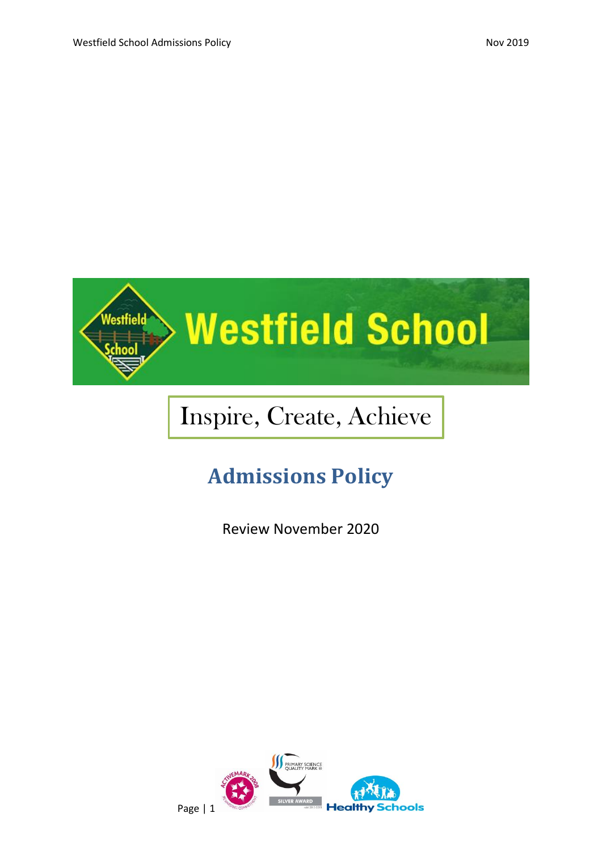

# Inspire, Create, Achieve

# **Admissions Policy**

Review November 2020

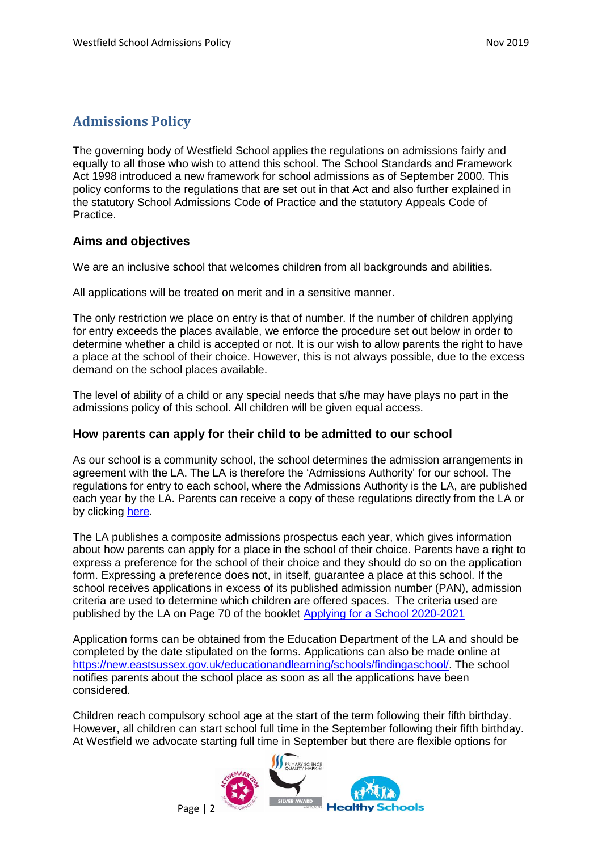# **Admissions Policy**

The governing body of Westfield School applies the regulations on admissions fairly and equally to all those who wish to attend this school. The School Standards and Framework Act 1998 introduced a new framework for school admissions as of September 2000. This policy conforms to the regulations that are set out in that Act and also further explained in the statutory School Admissions Code of Practice and the statutory Appeals Code of Practice.

# **Aims and objectives**

We are an inclusive school that welcomes children from all backgrounds and abilities.

All applications will be treated on merit and in a sensitive manner.

The only restriction we place on entry is that of number. If the number of children applying for entry exceeds the places available, we enforce the procedure set out below in order to determine whether a child is accepted or not. It is our wish to allow parents the right to have a place at the school of their choice. However, this is not always possible, due to the excess demand on the school places available.

The level of ability of a child or any special needs that s/he may have plays no part in the admissions policy of this school. All children will be given equal access.

# **How parents can apply for their child to be admitted to our school**

As our school is a community school, the school determines the admission arrangements in agreement with the LA. The LA is therefore the 'Admissions Authority' for our school. The regulations for entry to each school, where the Admissions Authority is the LA, are published each year by the LA. Parents can receive a copy of these regulations directly from the LA or by clicking [here.](https://czone.eastsussex.gov.uk/media/5672/apply-for-a-school-2020-21.pdf)

The LA publishes a composite admissions prospectus each year, which gives information about how parents can apply for a place in the school of their choice. Parents have a right to express a preference for the school of their choice and they should do so on the application form. Expressing a preference does not, in itself, guarantee a place at this school. If the school receives applications in excess of its published admission number (PAN), admission criteria are used to determine which children are offered spaces. The criteria used are published by the LA on Page 70 of the booklet [Applying for a School 2020-2021](https://czone.eastsussex.gov.uk/media/5672/apply-for-a-school-2020-21.pdf)

Application forms can be obtained from the Education Department of the LA and should be completed by the date stipulated on the forms. Applications can also be made online at [https://new.eastsussex.gov.uk/educationandlearning/schools/findingaschool/.](https://new.eastsussex.gov.uk/educationandlearning/schools/findingaschool/) The school notifies parents about the school place as soon as all the applications have been considered.

Children reach compulsory school age at the start of the term following their fifth birthday. However, all children can start school full time in the September following their fifth birthday. At Westfield we advocate starting full time in September but there are flexible options for